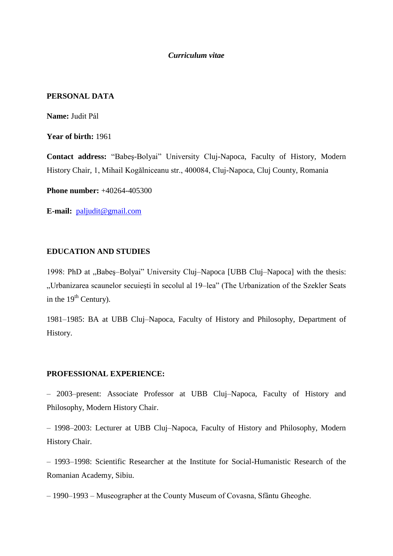## *Curriculum vitae*

## **PERSONAL DATA**

**Name:** Judit Pál

**Year of birth:** 1961

**Contact address:** "Babeş-Bolyai" University Cluj-Napoca, Faculty of History, Modern History Chair, 1, Mihail Kogălniceanu str., 400084, Cluj-Napoca, Cluj County, Romania

**Phone number:** +40264-405300

**E-mail:** [paljudit@gmail.com](mailto:paljudit@gmail.com)

# **EDUCATION AND STUDIES**

1998: PhD at "Babes–Bolyai" University Cluj–Napoca [UBB Cluj–Napoca] with the thesis: "Urbanizarea scaunelor secuieşti în secolul al 19–lea" (The Urbanization of the Szekler Seats in the  $19<sup>th</sup>$  Century).

1981–1985: BA at UBB Cluj–Napoca, Faculty of History and Philosophy, Department of History.

## **PROFESSIONAL EXPERIENCE:**

– 2003–present: Associate Professor at UBB Cluj–Napoca, Faculty of History and Philosophy, Modern History Chair.

– 1998–2003: Lecturer at UBB Cluj–Napoca, Faculty of History and Philosophy, Modern History Chair.

– 1993–1998: Scientific Researcher at the Institute for Social-Humanistic Research of the Romanian Academy, Sibiu.

– 1990–1993 – Museographer at the County Museum of Covasna, Sfântu Gheoghe.